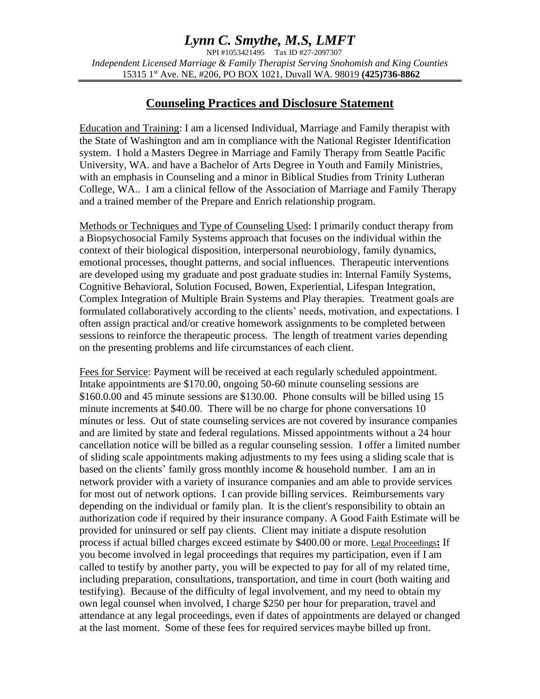## *Lynn C. Smythe, M.S, LMFT*

NPI #1053421495 Tax ID #27-2097307 *Independent Licensed Marriage & Family Therapist Serving Snohomish and King Counties* 15315 1st Ave. NE, #206, PO BOX 1021, Duvall WA. 98019 **(425)736-8862** 

### **Counseling Practices and Disclosure Statement**

Education and Training: I am a licensed Individual, Marriage and Family therapist with the State of Washington and am in compliance with the National Register Identification system. I hold a Masters Degree in Marriage and Family Therapy from Seattle Pacific University, WA. and have a Bachelor of Arts Degree in Youth and Family Ministries, with an emphasis in Counseling and a minor in Biblical Studies from Trinity Lutheran College, WA.. I am a clinical fellow of the Association of Marriage and Family Therapy and a trained member of the Prepare and Enrich relationship program.

Methods or Techniques and Type of Counseling Used: I primarily conduct therapy from a Biopsychosocial Family Systems approach that focuses on the individual within the context of their biological disposition, interpersonal neurobiology, family dynamics, emotional processes, thought patterns, and social influences. Therapeutic interventions are developed using my graduate and post graduate studies in: Internal Family Systems, Cognitive Behavioral, Solution Focused, Bowen, Experiential, Lifespan Integration, Complex Integration of Multiple Brain Systems and Play therapies. Treatment goals are formulated collaboratively according to the clients' needs, motivation, and expectations. I often assign practical and/or creative homework assignments to be completed between sessions to reinforce the therapeutic process. The length of treatment varies depending on the presenting problems and life circumstances of each client.

Fees for Service: Payment will be received at each regularly scheduled appointment. Intake appointments are \$170.00, ongoing 50-60 minute counseling sessions are \$160.0.00 and 45 minute sessions are \$130.00. Phone consults will be billed using 15 minute increments at \$40.00. There will be no charge for phone conversations 10 minutes or less. Out of state counseling services are not covered by insurance companies and are limited by state and federal regulations. Missed appointments without a 24 hour cancellation notice will be billed as a regular counseling session. I offer a limited number of sliding scale appointments making adjustments to my fees using a sliding scale that is based on the clients' family gross monthly income & household number. I am an in network provider with a variety of insurance companies and am able to provide services for most out of network options. I can provide billing services. Reimbursements vary depending on the individual or family plan. It is the client's responsibility to obtain an authorization code if required by their insurance company. A Good Faith Estimate will be provided for uninsured or self pay clients. Client may initiate a dispute resolution process if actual billed charges exceed estimate by \$400.00 or more. Legal Proceedings**:** If you become involved in legal proceedings that requires my participation, even if I am called to testify by another party, you will be expected to pay for all of my related time, including preparation, consultations, transportation, and time in court (both waiting and testifying). Because of the difficulty of legal involvement, and my need to obtain my own legal counsel when involved, I charge \$250 per hour for preparation, travel and attendance at any legal proceedings, even if dates of appointments are delayed or changed at the last moment. Some of these fees for required services maybe billed up front.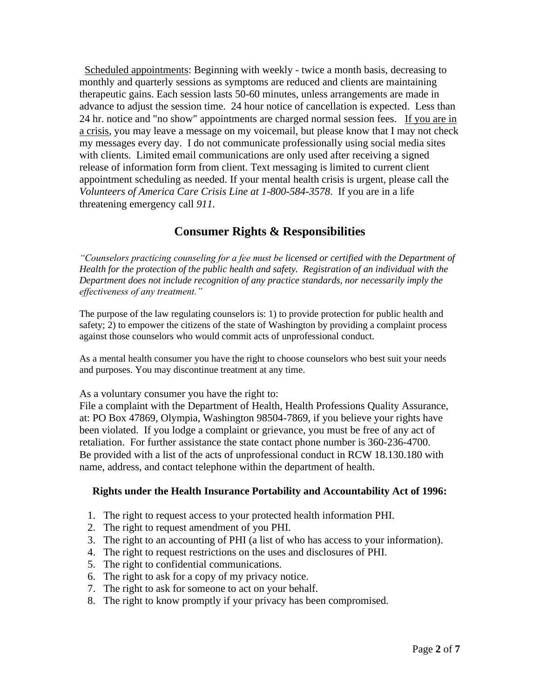Scheduled appointments: Beginning with weekly - twice a month basis, decreasing to monthly and quarterly sessions as symptoms are reduced and clients are maintaining therapeutic gains. Each session lasts 50-60 minutes, unless arrangements are made in advance to adjust the session time. 24 hour notice of cancellation is expected. Less than 24 hr. notice and "no show" appointments are charged normal session fees. If you are in a crisis, you may leave a message on my voicemail, but please know that I may not check my messages every day. I do not communicate professionally using social media sites with clients. Limited email communications are only used after receiving a signed release of information form from client. Text messaging is limited to current client appointment scheduling as needed. If your mental health crisis is urgent, please call the *Volunteers of America Care Crisis Line at 1-800-584-3578*. If you are in a life threatening emergency call *911*.

## **Consumer Rights & Responsibilities**

*"Counselors practicing counseling for a fee must be licensed or certified with the Department of Health for the protection of the public health and safety. Registration of an individual with the Department does not include recognition of any practice standards, nor necessarily imply the effectiveness of any treatment."*

The purpose of the law regulating counselors is: 1) to provide protection for public health and safety; 2) to empower the citizens of the state of Washington by providing a complaint process against those counselors who would commit acts of unprofessional conduct*.*

As a mental health consumer you have the right to choose counselors who best suit your needs and purposes. You may discontinue treatment at any time.

As a voluntary consumer you have the right to:

File a complaint with the Department of Health, Health Professions Quality Assurance, at: PO Box 47869, Olympia, Washington 98504-7869, if you believe your rights have been violated. If you lodge a complaint or grievance, you must be free of any act of retaliation. For further assistance the state contact phone number is 360-236-4700. Be provided with a list of the acts of unprofessional conduct in RCW 18.130.180 with name, address, and contact telephone within the department of health.

### **Rights under the Health Insurance Portability and Accountability Act of 1996:**

- 1. The right to request access to your protected health information PHI.
- 2. The right to request amendment of you PHI.
- 3. The right to an accounting of PHI (a list of who has access to your information).
- 4. The right to request restrictions on the uses and disclosures of PHI.
- 5. The right to confidential communications.
- 6. The right to ask for a copy of my privacy notice.
- 7. The right to ask for someone to act on your behalf.
- 8. The right to know promptly if your privacy has been compromised.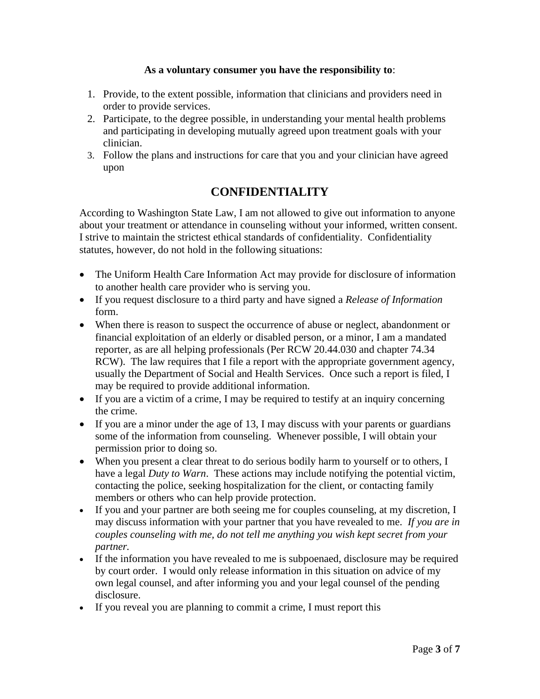#### **As a voluntary consumer you have the responsibility to**:

- 1. Provide, to the extent possible, information that clinicians and providers need in order to provide services.
- 2. Participate, to the degree possible, in understanding your mental health problems and participating in developing mutually agreed upon treatment goals with your clinician.
- 3. Follow the plans and instructions for care that you and your clinician have agreed upon

## **CONFIDENTIALITY**

According to Washington State Law, I am not allowed to give out information to anyone about your treatment or attendance in counseling without your informed, written consent. I strive to maintain the strictest ethical standards of confidentiality. Confidentiality statutes, however, do not hold in the following situations:

- The Uniform Health Care Information Act may provide for disclosure of information to another health care provider who is serving you.
- If you request disclosure to a third party and have signed a *Release of Information*  form.
- When there is reason to suspect the occurrence of abuse or neglect, abandonment or financial exploitation of an elderly or disabled person, or a minor, I am a mandated reporter, as are all helping professionals (Per RCW 20.44.030 and chapter 74.34 RCW). The law requires that I file a report with the appropriate government agency, usually the Department of Social and Health Services. Once such a report is filed, I may be required to provide additional information.
- If you are a victim of a crime, I may be required to testify at an inquiry concerning the crime.
- If you are a minor under the age of 13, I may discuss with your parents or guardians some of the information from counseling. Whenever possible, I will obtain your permission prior to doing so.
- When you present a clear threat to do serious bodily harm to yourself or to others, I have a legal *Duty to Warn*. These actions may include notifying the potential victim, contacting the police, seeking hospitalization for the client, or contacting family members or others who can help provide protection.
- If you and your partner are both seeing me for couples counseling, at my discretion, I may discuss information with your partner that you have revealed to me. *If you are in couples counseling with me, do not tell me anything you wish kept secret from your partner.*
- If the information you have revealed to me is subpoenaed, disclosure may be required by court order. I would only release information in this situation on advice of my own legal counsel, and after informing you and your legal counsel of the pending disclosure.
- If you reveal you are planning to commit a crime, I must report this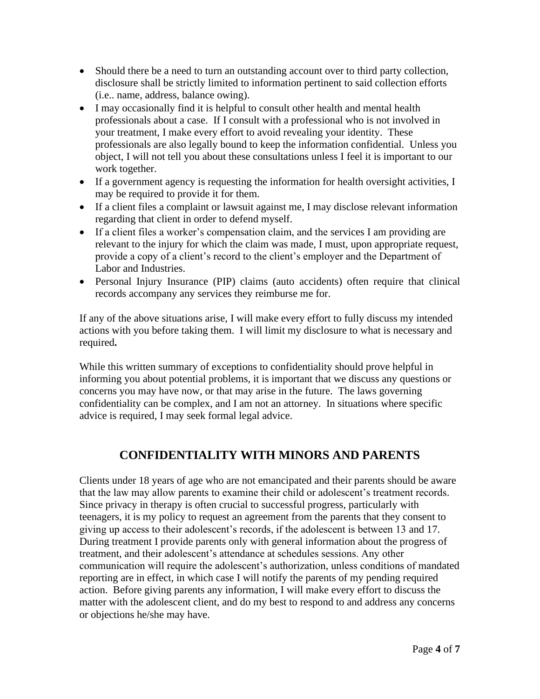- Should there be a need to turn an outstanding account over to third party collection, disclosure shall be strictly limited to information pertinent to said collection efforts (i.e.. name, address, balance owing).
- I may occasionally find it is helpful to consult other health and mental health professionals about a case. If I consult with a professional who is not involved in your treatment, I make every effort to avoid revealing your identity. These professionals are also legally bound to keep the information confidential. Unless you object, I will not tell you about these consultations unless I feel it is important to our work together.
- If a government agency is requesting the information for health oversight activities, I may be required to provide it for them.
- If a client files a complaint or lawsuit against me, I may disclose relevant information regarding that client in order to defend myself.
- If a client files a worker's compensation claim, and the services I am providing are relevant to the injury for which the claim was made, I must, upon appropriate request, provide a copy of a client's record to the client's employer and the Department of Labor and Industries.
- Personal Injury Insurance (PIP) claims (auto accidents) often require that clinical records accompany any services they reimburse me for.

If any of the above situations arise, I will make every effort to fully discuss my intended actions with you before taking them. I will limit my disclosure to what is necessary and required**.**

While this written summary of exceptions to confidentiality should prove helpful in informing you about potential problems, it is important that we discuss any questions or concerns you may have now, or that may arise in the future. The laws governing confidentiality can be complex, and I am not an attorney. In situations where specific advice is required, I may seek formal legal advice.

# **CONFIDENTIALITY WITH MINORS AND PARENTS**

Clients under 18 years of age who are not emancipated and their parents should be aware that the law may allow parents to examine their child or adolescent's treatment records. Since privacy in therapy is often crucial to successful progress, particularly with teenagers, it is my policy to request an agreement from the parents that they consent to giving up access to their adolescent's records, if the adolescent is between 13 and 17. During treatment I provide parents only with general information about the progress of treatment, and their adolescent's attendance at schedules sessions. Any other communication will require the adolescent's authorization, unless conditions of mandated reporting are in effect, in which case I will notify the parents of my pending required action. Before giving parents any information, I will make every effort to discuss the matter with the adolescent client, and do my best to respond to and address any concerns or objections he/she may have.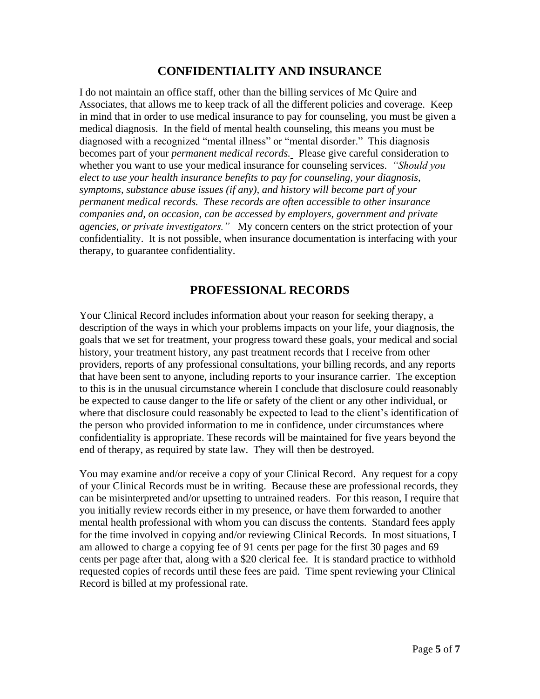## **CONFIDENTIALITY AND INSURANCE**

I do not maintain an office staff, other than the billing services of Mc Quire and Associates, that allows me to keep track of all the different policies and coverage. Keep in mind that in order to use medical insurance to pay for counseling, you must be given a medical diagnosis. In the field of mental health counseling, this means you must be diagnosed with a recognized "mental illness" or "mental disorder." This diagnosis becomes part of your *permanent medical records.* Please give careful consideration to whether you want to use your medical insurance for counseling services. *"Should you elect to use your health insurance benefits to pay for counseling, your diagnosis, symptoms, substance abuse issues (if any), and history will become part of your permanent medical records. These records are often accessible to other insurance companies and, on occasion, can be accessed by employers, government and private agencies, or private investigators."* My concern centers on the strict protection of your confidentiality. It is not possible, when insurance documentation is interfacing with your therapy, to guarantee confidentiality.

## **PROFESSIONAL RECORDS**

Your Clinical Record includes information about your reason for seeking therapy, a description of the ways in which your problems impacts on your life, your diagnosis, the goals that we set for treatment, your progress toward these goals, your medical and social history, your treatment history, any past treatment records that I receive from other providers, reports of any professional consultations, your billing records, and any reports that have been sent to anyone, including reports to your insurance carrier. The exception to this is in the unusual circumstance wherein I conclude that disclosure could reasonably be expected to cause danger to the life or safety of the client or any other individual, or where that disclosure could reasonably be expected to lead to the client's identification of the person who provided information to me in confidence, under circumstances where confidentiality is appropriate. These records will be maintained for five years beyond the end of therapy, as required by state law. They will then be destroyed.

You may examine and/or receive a copy of your Clinical Record. Any request for a copy of your Clinical Records must be in writing. Because these are professional records, they can be misinterpreted and/or upsetting to untrained readers. For this reason, I require that you initially review records either in my presence, or have them forwarded to another mental health professional with whom you can discuss the contents. Standard fees apply for the time involved in copying and/or reviewing Clinical Records. In most situations, I am allowed to charge a copying fee of 91 cents per page for the first 30 pages and 69 cents per page after that, along with a \$20 clerical fee. It is standard practice to withhold requested copies of records until these fees are paid. Time spent reviewing your Clinical Record is billed at my professional rate.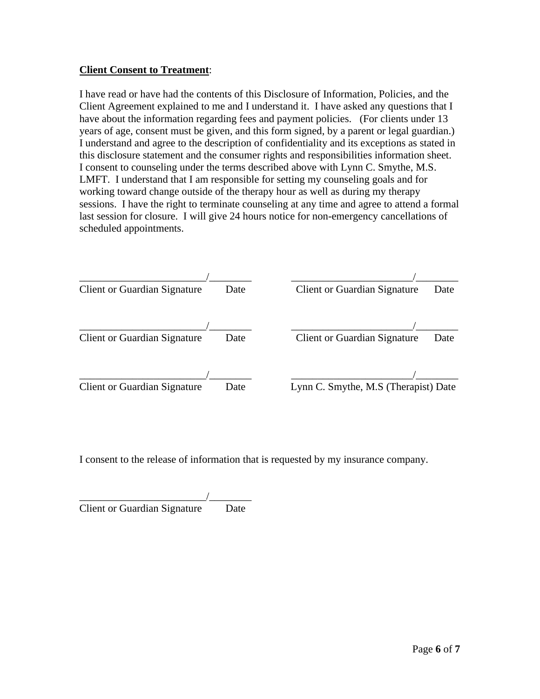#### **Client Consent to Treatment**:

I have read or have had the contents of this Disclosure of Information, Policies, and the Client Agreement explained to me and I understand it. I have asked any questions that I have about the information regarding fees and payment policies. (For clients under 13 years of age, consent must be given, and this form signed, by a parent or legal guardian.) I understand and agree to the description of confidentiality and its exceptions as stated in this disclosure statement and the consumer rights and responsibilities information sheet. I consent to counseling under the terms described above with Lynn C. Smythe, M.S. LMFT. I understand that I am responsible for setting my counseling goals and for working toward change outside of the therapy hour as well as during my therapy sessions. I have the right to terminate counseling at any time and agree to attend a formal last session for closure. I will give 24 hours notice for non-emergency cancellations of scheduled appointments.

| Client or Guardian Signature | Date | <b>Client or Guardian Signature</b><br>Date |
|------------------------------|------|---------------------------------------------|
|                              |      |                                             |
| Client or Guardian Signature | Date | <b>Client or Guardian Signature</b><br>Date |
|                              |      |                                             |
| Client or Guardian Signature | Date | Lynn C. Smythe, M.S (Therapist) Date        |

I consent to the release of information that is requested by my insurance company.

| <b>Client or Guardian Signature</b> | Date |
|-------------------------------------|------|